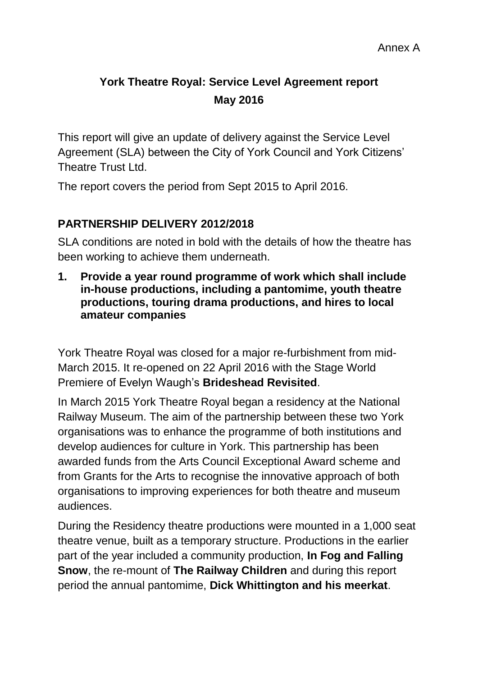# **York Theatre Royal: Service Level Agreement report May 2016**

This report will give an update of delivery against the Service Level Agreement (SLA) between the City of York Council and York Citizens' Theatre Trust Ltd.

The report covers the period from Sept 2015 to April 2016.

## **PARTNERSHIP DELIVERY 2012/2018**

SLA conditions are noted in bold with the details of how the theatre has been working to achieve them underneath.

**1. Provide a year round programme of work which shall include in-house productions, including a pantomime, youth theatre productions, touring drama productions, and hires to local amateur companies**

York Theatre Royal was closed for a major re-furbishment from mid-March 2015. It re-opened on 22 April 2016 with the Stage World Premiere of Evelyn Waugh's **Brideshead Revisited**.

In March 2015 York Theatre Royal began a residency at the National Railway Museum. The aim of the partnership between these two York organisations was to enhance the programme of both institutions and develop audiences for culture in York. This partnership has been awarded funds from the Arts Council Exceptional Award scheme and from Grants for the Arts to recognise the innovative approach of both organisations to improving experiences for both theatre and museum audiences.

During the Residency theatre productions were mounted in a 1,000 seat theatre venue, built as a temporary structure. Productions in the earlier part of the year included a community production, **In Fog and Falling Snow**, the re-mount of **The Railway Children** and during this report period the annual pantomime, **Dick Whittington and his meerkat**.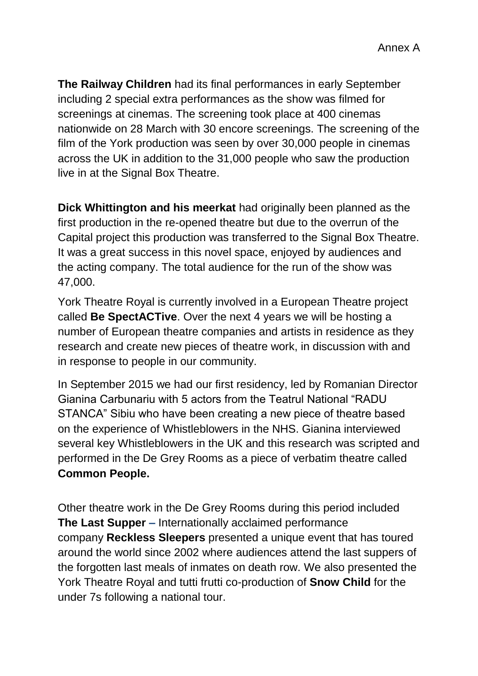**The Railway Children** had its final performances in early September including 2 special extra performances as the show was filmed for screenings at cinemas. The screening took place at 400 cinemas nationwide on 28 March with 30 encore screenings. The screening of the film of the York production was seen by over 30,000 people in cinemas across the UK in addition to the 31,000 people who saw the production live in at the Signal Box Theatre.

**Dick Whittington and his meerkat** had originally been planned as the first production in the re-opened theatre but due to the overrun of the Capital project this production was transferred to the Signal Box Theatre. It was a great success in this novel space, enjoyed by audiences and the acting company. The total audience for the run of the show was 47,000.

York Theatre Royal is currently involved in a European Theatre project called **Be SpectACTive**. Over the next 4 years we will be hosting a number of European theatre companies and artists in residence as they research and create new pieces of theatre work, in discussion with and in response to people in our community.

In September 2015 we had our first residency, led by Romanian Director Gianina Carbunariu with 5 actors from the Teatrul National "RADU STANCA" Sibiu who have been creating a new piece of theatre based on the experience of Whistleblowers in the NHS. Gianina interviewed several key Whistleblowers in the UK and this research was scripted and performed in the De Grey Rooms as a piece of verbatim theatre called **Common People.**

Other theatre work in the De Grey Rooms during this period included **The Last Supper –** Internationally acclaimed performance company **Reckless Sleepers** presented a unique event that has toured around the world since 2002 where audiences attend the last suppers of the forgotten last meals of inmates on death row. We also presented the York Theatre Royal and tutti frutti co-production of **Snow Child** for the under 7s following a national tour.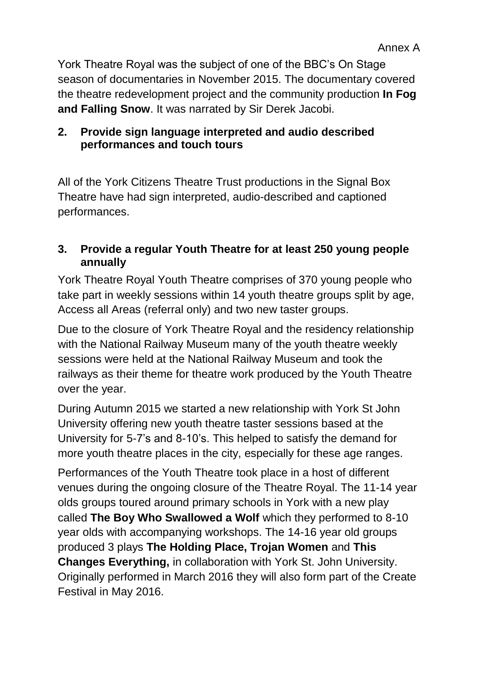York Theatre Royal was the subject of one of the BBC's On Stage season of documentaries in November 2015. The documentary covered the theatre redevelopment project and the community production **In Fog and Falling Snow**. It was narrated by Sir Derek Jacobi.

## **2. Provide sign language interpreted and audio described performances and touch tours**

All of the York Citizens Theatre Trust productions in the Signal Box Theatre have had sign interpreted, audio-described and captioned performances.

## **3. Provide a regular Youth Theatre for at least 250 young people annually**

York Theatre Royal Youth Theatre comprises of 370 young people who take part in weekly sessions within 14 youth theatre groups split by age, Access all Areas (referral only) and two new taster groups.

Due to the closure of York Theatre Royal and the residency relationship with the National Railway Museum many of the youth theatre weekly sessions were held at the National Railway Museum and took the railways as their theme for theatre work produced by the Youth Theatre over the year.

During Autumn 2015 we started a new relationship with York St John University offering new youth theatre taster sessions based at the University for 5-7's and 8-10's. This helped to satisfy the demand for more youth theatre places in the city, especially for these age ranges.

Performances of the Youth Theatre took place in a host of different venues during the ongoing closure of the Theatre Royal. The 11-14 year olds groups toured around primary schools in York with a new play called **The Boy Who Swallowed a Wolf** which they performed to 8-10 year olds with accompanying workshops. The 14-16 year old groups produced 3 plays **The Holding Place, Trojan Women** and **This Changes Everything,** in collaboration with York St. John University. Originally performed in March 2016 they will also form part of the Create Festival in May 2016.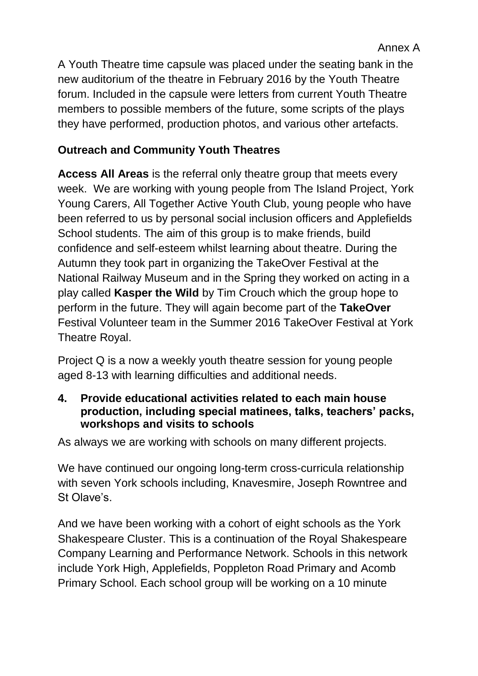A Youth Theatre time capsule was placed under the seating bank in the new auditorium of the theatre in February 2016 by the Youth Theatre forum. Included in the capsule were letters from current Youth Theatre members to possible members of the future, some scripts of the plays they have performed, production photos, and various other artefacts.

## **Outreach and Community Youth Theatres**

**Access All Areas** is the referral only theatre group that meets every week. We are working with young people from The Island Project, York Young Carers, All Together Active Youth Club, young people who have been referred to us by personal social inclusion officers and Applefields School students. The aim of this group is to make friends, build confidence and self-esteem whilst learning about theatre. During the Autumn they took part in organizing the TakeOver Festival at the National Railway Museum and in the Spring they worked on acting in a play called **Kasper the Wild** by Tim Crouch which the group hope to perform in the future. They will again become part of the **TakeOver**  Festival Volunteer team in the Summer 2016 TakeOver Festival at York Theatre Royal.

Project Q is a now a weekly youth theatre session for young people aged 8-13 with learning difficulties and additional needs.

#### **4. Provide educational activities related to each main house production, including special matinees, talks, teachers' packs, workshops and visits to schools**

As always we are working with schools on many different projects.

We have continued our ongoing long-term cross-curricula relationship with seven York schools including, Knavesmire, Joseph Rowntree and St Olave's.

And we have been working with a cohort of eight schools as the York Shakespeare Cluster. This is a continuation of the Royal Shakespeare Company Learning and Performance Network. Schools in this network include York High, Applefields, Poppleton Road Primary and Acomb Primary School. Each school group will be working on a 10 minute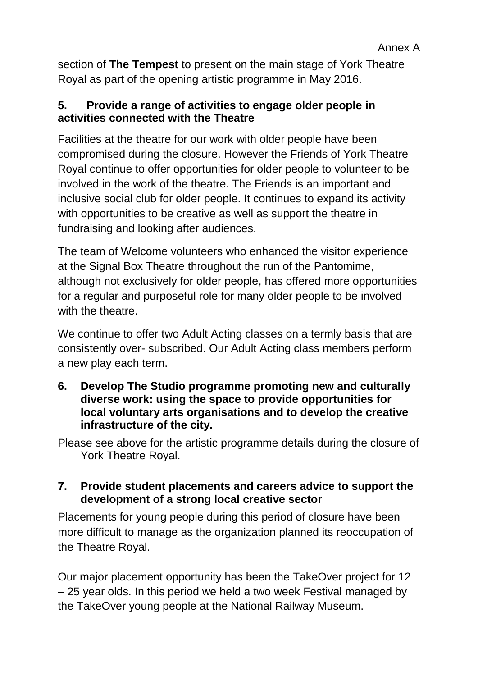section of **The Tempest** to present on the main stage of York Theatre Royal as part of the opening artistic programme in May 2016.

## **5. Provide a range of activities to engage older people in activities connected with the Theatre**

Facilities at the theatre for our work with older people have been compromised during the closure. However the Friends of York Theatre Royal continue to offer opportunities for older people to volunteer to be involved in the work of the theatre. The Friends is an important and inclusive social club for older people. It continues to expand its activity with opportunities to be creative as well as support the theatre in fundraising and looking after audiences.

The team of Welcome volunteers who enhanced the visitor experience at the Signal Box Theatre throughout the run of the Pantomime, although not exclusively for older people, has offered more opportunities for a regular and purposeful role for many older people to be involved with the theatre.

We continue to offer two Adult Acting classes on a termly basis that are consistently over- subscribed. Our Adult Acting class members perform a new play each term.

**6. Develop The Studio programme promoting new and culturally diverse work: using the space to provide opportunities for local voluntary arts organisations and to develop the creative infrastructure of the city.** 

Please see above for the artistic programme details during the closure of York Theatre Royal.

## **7. Provide student placements and careers advice to support the development of a strong local creative sector**

Placements for young people during this period of closure have been more difficult to manage as the organization planned its reoccupation of the Theatre Royal.

Our major placement opportunity has been the TakeOver project for 12 – 25 year olds. In this period we held a two week Festival managed by the TakeOver young people at the National Railway Museum.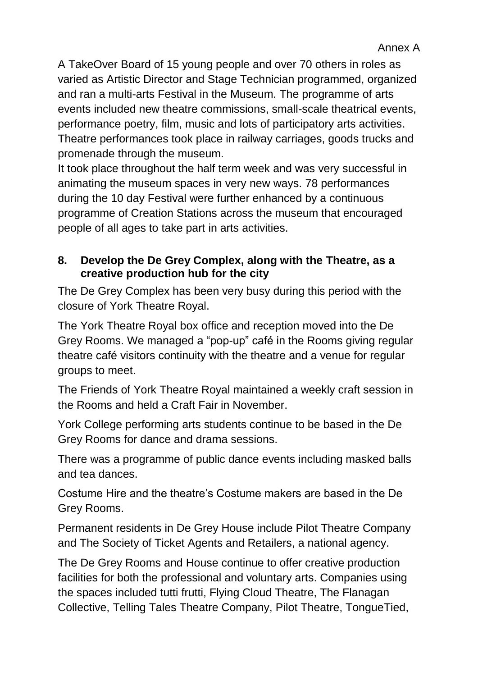A TakeOver Board of 15 young people and over 70 others in roles as varied as Artistic Director and Stage Technician programmed, organized and ran a multi-arts Festival in the Museum. The programme of arts events included new theatre commissions, small-scale theatrical events, performance poetry, film, music and lots of participatory arts activities. Theatre performances took place in railway carriages, goods trucks and promenade through the museum.

It took place throughout the half term week and was very successful in animating the museum spaces in very new ways. 78 performances during the 10 day Festival were further enhanced by a continuous programme of Creation Stations across the museum that encouraged people of all ages to take part in arts activities.

## **8. Develop the De Grey Complex, along with the Theatre, as a creative production hub for the city**

The De Grey Complex has been very busy during this period with the closure of York Theatre Royal.

The York Theatre Royal box office and reception moved into the De Grey Rooms. We managed a "pop-up" café in the Rooms giving regular theatre café visitors continuity with the theatre and a venue for regular groups to meet.

The Friends of York Theatre Royal maintained a weekly craft session in the Rooms and held a Craft Fair in November.

York College performing arts students continue to be based in the De Grey Rooms for dance and drama sessions.

There was a programme of public dance events including masked balls and tea dances.

Costume Hire and the theatre's Costume makers are based in the De Grey Rooms.

Permanent residents in De Grey House include Pilot Theatre Company and The Society of Ticket Agents and Retailers, a national agency.

The De Grey Rooms and House continue to offer creative production facilities for both the professional and voluntary arts. Companies using the spaces included tutti frutti, Flying Cloud Theatre, The Flanagan Collective, Telling Tales Theatre Company, Pilot Theatre, TongueTied,